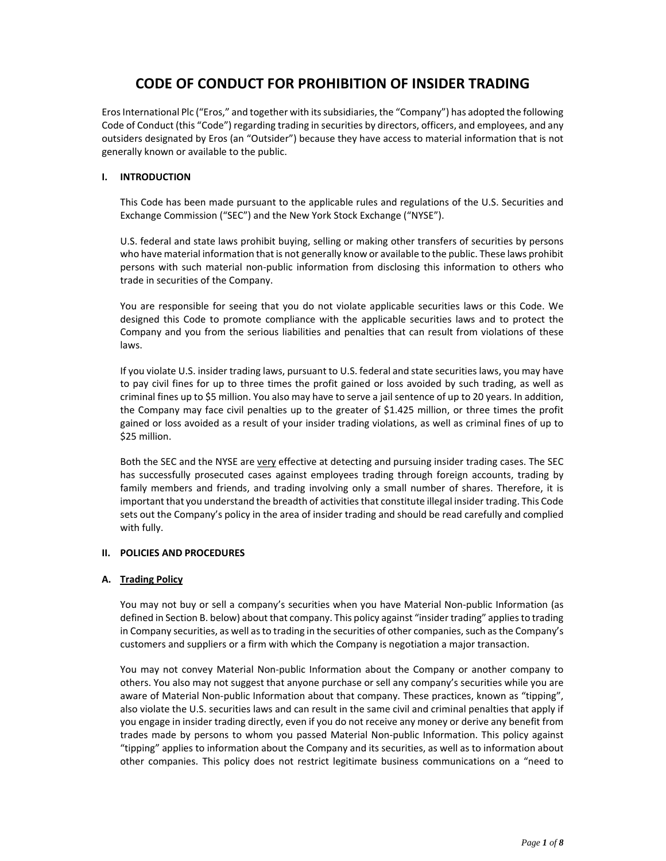# **CODE OF CONDUCT FOR PROHIBITION OF INSIDER TRADING**

ErosInternational Plc ("Eros," and together with itssubsidiaries, the "Company") has adopted the following Code of Conduct (this "Code") regarding trading in securities by directors, officers, and employees, and any outsiders designated by Eros (an "Outsider") because they have access to material information that is not generally known or available to the public.

## **I. INTRODUCTION**

This Code has been made pursuant to the applicable rules and regulations of the U.S. Securities and Exchange Commission ("SEC") and the New York Stock Exchange ("NYSE").

U.S. federal and state laws prohibit buying, selling or making other transfers of securities by persons who have material information that is not generally know or available to the public. These laws prohibit persons with such material non‐public information from disclosing this information to others who trade in securities of the Company.

You are responsible for seeing that you do not violate applicable securities laws or this Code. We designed this Code to promote compliance with the applicable securities laws and to protect the Company and you from the serious liabilities and penalties that can result from violations of these laws.

If you violate U.S. insider trading laws, pursuant to U.S. federal and state securities laws, you may have to pay civil fines for up to three times the profit gained or loss avoided by such trading, as well as criminal fines up to \$5 million. You also may have to serve a jail sentence of up to 20 years. In addition, the Company may face civil penalties up to the greater of \$1.425 million, or three times the profit gained or loss avoided as a result of your insider trading violations, as well as criminal fines of up to \$25 million.

Both the SEC and the NYSE are very effective at detecting and pursuing insider trading cases. The SEC has successfully prosecuted cases against employees trading through foreign accounts, trading by family members and friends, and trading involving only a small number of shares. Therefore, it is important that you understand the breadth of activitiesthat constitute illegal insider trading. This Code sets out the Company's policy in the area of insider trading and should be read carefully and complied with fully.

#### **II. POLICIES AND PROCEDURES**

#### **A. Trading Policy**

You may not buy or sell a company's securities when you have Material Non‐public Information (as defined in Section B. below) about that company. This policy against "insider trading" applies to trading in Company securities, as well as to trading in the securities of other companies, such as the Company's customers and suppliers or a firm with which the Company is negotiation a major transaction.

You may not convey Material Non-public Information about the Company or another company to others. You also may not suggest that anyone purchase or sell any company's securities while you are aware of Material Non‐public Information about that company. These practices, known as "tipping", also violate the U.S. securities laws and can result in the same civil and criminal penalties that apply if you engage in insider trading directly, even if you do not receive any money or derive any benefit from trades made by persons to whom you passed Material Non‐public Information. This policy against "tipping" applies to information about the Company and its securities, as well as to information about other companies. This policy does not restrict legitimate business communications on a "need to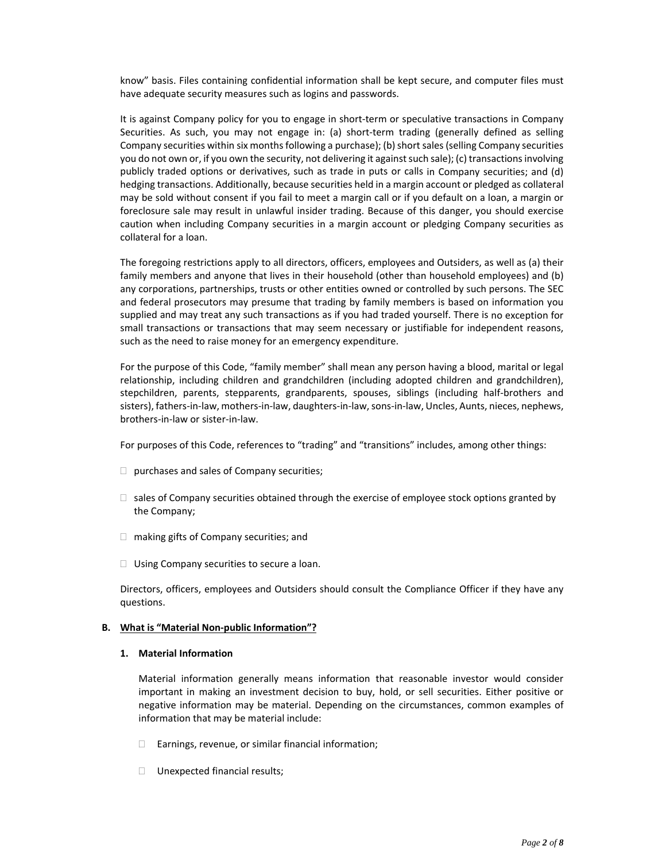know" basis. Files containing confidential information shall be kept secure, and computer files must have adequate security measures such as logins and passwords.

It is against Company policy for you to engage in short-term or speculative transactions in Company Securities. As such, you may not engage in: (a) short-term trading (generally defined as selling Company securities within six months following a purchase); (b) short sales (selling Company securities you do not own or, if you own the security, not delivering it against such sale); (c) transactions involving publicly traded options or derivatives, such as trade in puts or calls in Company securities; and (d) hedging transactions. Additionally, because securities held in a margin account or pledged as collateral may be sold without consent if you fail to meet a margin call or if you default on a loan, a margin or foreclosure sale may result in unlawful insider trading. Because of this danger, you should exercise caution when including Company securities in a margin account or pledging Company securities as collateral for a loan.

The foregoing restrictions apply to all directors, officers, employees and Outsiders, as well as (a) their family members and anyone that lives in their household (other than household employees) and (b) any corporations, partnerships, trusts or other entities owned or controlled by such persons. The SEC and federal prosecutors may presume that trading by family members is based on information you supplied and may treat any such transactions as if you had traded yourself. There is no exception for small transactions or transactions that may seem necessary or justifiable for independent reasons, such as the need to raise money for an emergency expenditure.

For the purpose of this Code, "family member" shall mean any person having a blood, marital or legal relationship, including children and grandchildren (including adopted children and grandchildren), stepchildren, parents, stepparents, grandparents, spouses, siblings (including half‐brothers and sisters), fathers-in-law, mothers-in-law, daughters-in-law, sons-in-law, Uncles, Aunts, nieces, nephews, brothers‐in‐law or sister‐in‐law.

For purposes of this Code, references to "trading" and "transitions" includes, among other things:

- $\Box$  purchases and sales of Company securities;
- $\Box$  sales of Company securities obtained through the exercise of employee stock options granted by the Company;
- □ making gifts of Company securities; and
- $\Box$  Using Company securities to secure a loan.

Directors, officers, employees and Outsiders should consult the Compliance Officer if they have any questions.

#### **B. What is "Material Non‐public Information"?**

#### **1. Material Information**

Material information generally means information that reasonable investor would consider important in making an investment decision to buy, hold, or sell securities. Either positive or negative information may be material. Depending on the circumstances, common examples of information that may be material include:

- $\Box$  Earnings, revenue, or similar financial information;
- □ Unexpected financial results;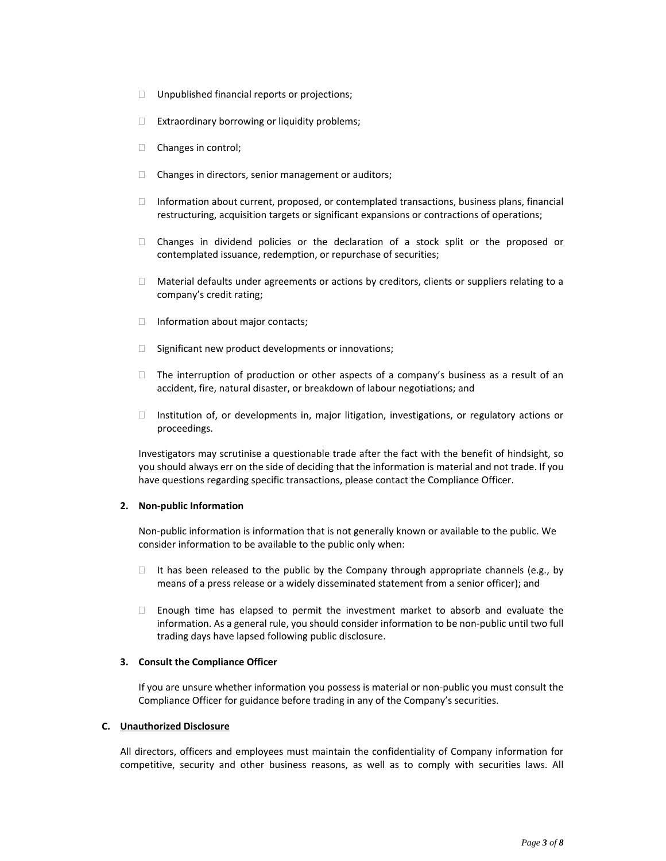- $\Box$  Unpublished financial reports or projections;
- $\Box$  Extraordinary borrowing or liquidity problems;
- Changes in control;
- $\Box$  Changes in directors, senior management or auditors;
- $\Box$  Information about current, proposed, or contemplated transactions, business plans, financial restructuring, acquisition targets or significant expansions or contractions of operations;
- Changes in dividend policies or the declaration of a stock split or the proposed or contemplated issuance, redemption, or repurchase of securities;
- $\Box$  Material defaults under agreements or actions by creditors, clients or suppliers relating to a company's credit rating;
- $\Box$  Information about major contacts;
- $\Box$  Significant new product developments or innovations;
- $\Box$  The interruption of production or other aspects of a company's business as a result of an accident, fire, natural disaster, or breakdown of labour negotiations; and
- $\Box$  Institution of, or developments in, major litigation, investigations, or regulatory actions or proceedings.

Investigators may scrutinise a questionable trade after the fact with the benefit of hindsight, so you should always err on the side of deciding that the information is material and not trade. If you have questions regarding specific transactions, please contact the Compliance Officer.

#### **2. Non‐public Information**

Non‐public information is information that is not generally known or available to the public. We consider information to be available to the public only when:

- $\Box$  It has been released to the public by the Company through appropriate channels (e.g., by means of a press release or a widely disseminated statement from a senior officer); and
- $\Box$  Enough time has elapsed to permit the investment market to absorb and evaluate the information. As a general rule, you should consider information to be non-public until two full trading days have lapsed following public disclosure.

#### **3. Consult the Compliance Officer**

If you are unsure whether information you possess is material or non‐public you must consult the Compliance Officer for guidance before trading in any of the Company's securities.

#### **C. Unauthorized Disclosure**

All directors, officers and employees must maintain the confidentiality of Company information for competitive, security and other business reasons, as well as to comply with securities laws. All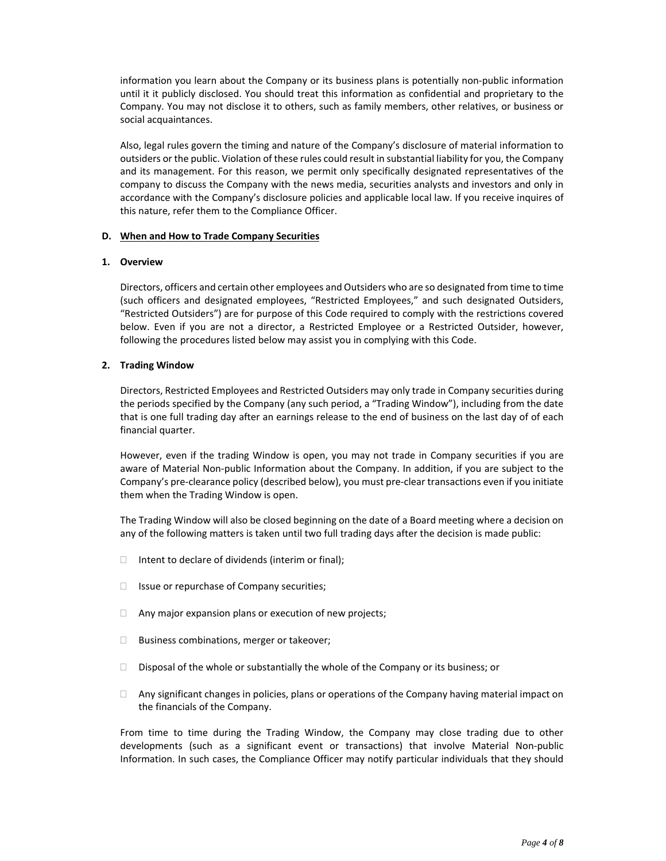information you learn about the Company or its business plans is potentially non‐public information until it it publicly disclosed. You should treat this information as confidential and proprietary to the Company. You may not disclose it to others, such as family members, other relatives, or business or social acquaintances.

Also, legal rules govern the timing and nature of the Company's disclosure of material information to outsiders or the public. Violation of these rules could result in substantial liability for you, the Company and its management. For this reason, we permit only specifically designated representatives of the company to discuss the Company with the news media, securities analysts and investors and only in accordance with the Company's disclosure policies and applicable local law. If you receive inquires of this nature, refer them to the Compliance Officer.

## **D. When and How to Trade Company Securities**

## **1. Overview**

Directors, officers and certain other employees and Outsiders who are so designated from time to time (such officers and designated employees, "Restricted Employees," and such designated Outsiders, "Restricted Outsiders") are for purpose of this Code required to comply with the restrictions covered below. Even if you are not a director, a Restricted Employee or a Restricted Outsider, however, following the procedures listed below may assist you in complying with this Code.

## **2. Trading Window**

Directors, Restricted Employees and Restricted Outsiders may only trade in Company securities during the periods specified by the Company (any such period, a "Trading Window"), including from the date that is one full trading day after an earnings release to the end of business on the last day of of each financial quarter.

However, even if the trading Window is open, you may not trade in Company securities if you are aware of Material Non‐public Information about the Company. In addition, if you are subject to the Company's pre‐clearance policy (described below), you must pre‐clear transactions even if you initiate them when the Trading Window is open.

The Trading Window will also be closed beginning on the date of a Board meeting where a decision on any of the following matters is taken until two full trading days after the decision is made public:

- $\Box$  Intent to declare of dividends (interim or final);
- $\Box$  Issue or repurchase of Company securities;
- $\Box$  Any major expansion plans or execution of new projects;
- $\Box$  Business combinations, merger or takeover;
- $\Box$  Disposal of the whole or substantially the whole of the Company or its business; or
- $\Box$  Any significant changes in policies, plans or operations of the Company having material impact on the financials of the Company.

From time to time during the Trading Window, the Company may close trading due to other developments (such as a significant event or transactions) that involve Material Non‐public Information. In such cases, the Compliance Officer may notify particular individuals that they should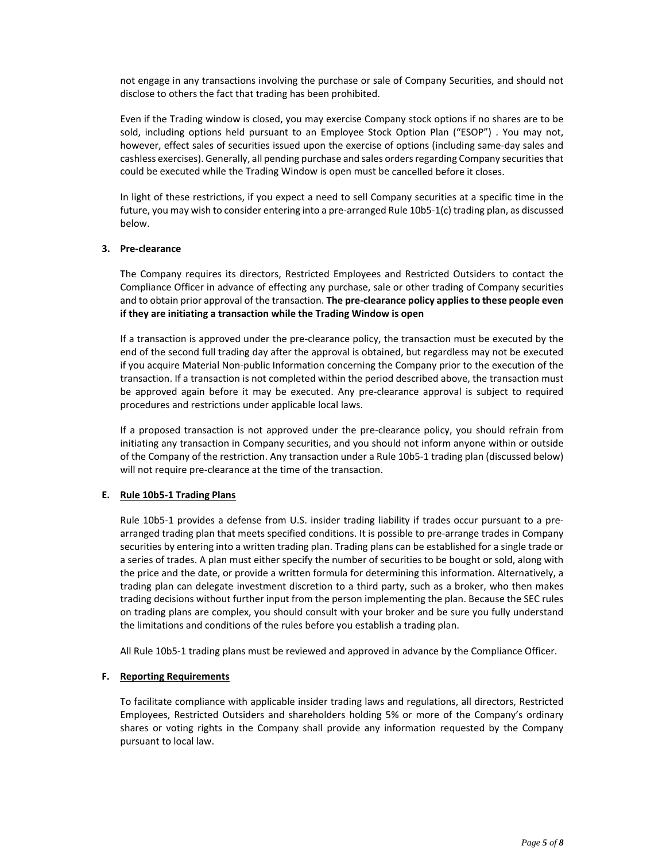not engage in any transactions involving the purchase or sale of Company Securities, and should not disclose to others the fact that trading has been prohibited.

Even if the Trading window is closed, you may exercise Company stock options if no shares are to be sold, including options held pursuant to an Employee Stock Option Plan ("ESOP") . You may not, however, effect sales of securities issued upon the exercise of options (including same‐day sales and cashless exercises). Generally, all pending purchase and sales orders regarding Company securities that could be executed while the Trading Window is open must be cancelled before it closes.

In light of these restrictions, if you expect a need to sell Company securities at a specific time in the future, you may wish to consider entering into a pre‐arranged Rule 10b5‐1(c) trading plan, as discussed below.

## **3. Pre‐clearance**

The Company requires its directors, Restricted Employees and Restricted Outsiders to contact the Compliance Officer in advance of effecting any purchase, sale or other trading of Company securities and to obtain prior approval of the transaction. **The pre‐clearance policy appliesto these people even if they are initiating a transaction while the Trading Window is open**

If a transaction is approved under the pre‐clearance policy, the transaction must be executed by the end of the second full trading day after the approval is obtained, but regardless may not be executed if you acquire Material Non‐public Information concerning the Company prior to the execution of the transaction. If a transaction is not completed within the period described above, the transaction must be approved again before it may be executed. Any pre-clearance approval is subject to required procedures and restrictions under applicable local laws.

If a proposed transaction is not approved under the pre-clearance policy, you should refrain from initiating any transaction in Company securities, and you should not inform anyone within or outside of the Company of the restriction. Any transaction under a Rule 10b5‐1 trading plan (discussed below) will not require pre‐clearance at the time of the transaction.

#### **E. Rule 10b5‐1 Trading Plans**

Rule 10b5-1 provides a defense from U.S. insider trading liability if trades occur pursuant to a prearranged trading plan that meets specified conditions. It is possible to pre-arrange trades in Company securities by entering into a written trading plan. Trading plans can be established for a single trade or a series of trades. A plan must either specify the number of securities to be bought or sold, along with the price and the date, or provide a written formula for determining this information. Alternatively, a trading plan can delegate investment discretion to a third party, such as a broker, who then makes trading decisions without further input from the person implementing the plan. Because the SEC rules on trading plans are complex, you should consult with your broker and be sure you fully understand the limitations and conditions of the rules before you establish a trading plan.

All Rule 10b5‐1 trading plans must be reviewed and approved in advance by the Compliance Officer.

#### **F. Reporting Requirements**

To facilitate compliance with applicable insider trading laws and regulations, all directors, Restricted Employees, Restricted Outsiders and shareholders holding 5% or more of the Company's ordinary shares or voting rights in the Company shall provide any information requested by the Company pursuant to local law.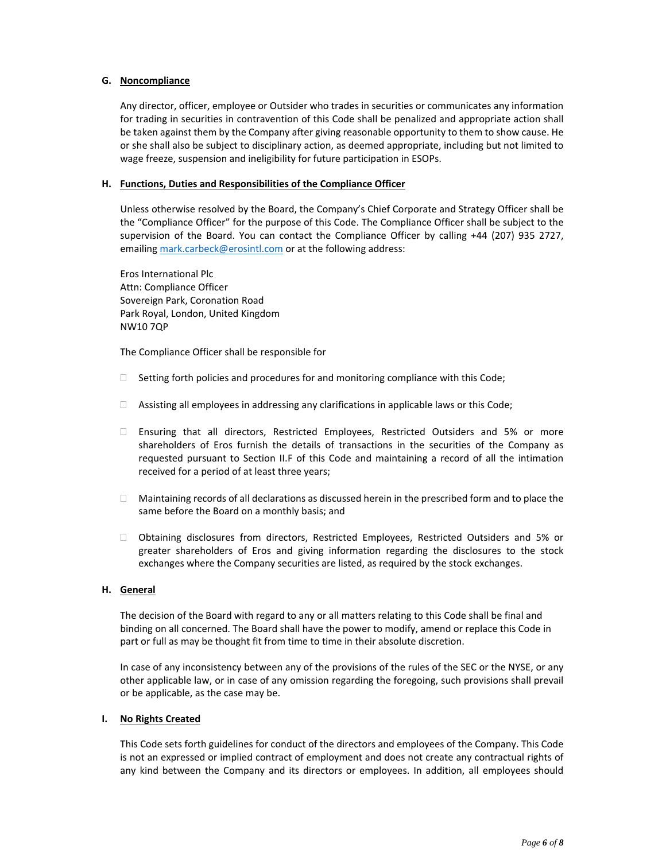#### **G. Noncompliance**

Any director, officer, employee or Outsider who trades in securities or communicates any information for trading in securities in contravention of this Code shall be penalized and appropriate action shall be taken against them by the Company after giving reasonable opportunity to them to show cause. He or she shall also be subject to disciplinary action, as deemed appropriate, including but not limited to wage freeze, suspension and ineligibility for future participation in ESOPs.

#### **H. Functions, Duties and Responsibilities of the Compliance Officer**

Unless otherwise resolved by the Board, the Company's Chief Corporate and Strategy Officer shall be the "Compliance Officer" for the purpose of this Code. The Compliance Officer shall be subject to the supervision of the Board. You can contact the Compliance Officer by calling +44 (207) 935 2727, emailing mark.carbeck@erosintl.com or at the following address:

Eros International Plc Attn: Compliance Officer Sovereign Park, Coronation Road Park Royal, London, United Kingdom NW10 7QP

The Compliance Officer shall be responsible for

- $\Box$  Setting forth policies and procedures for and monitoring compliance with this Code;
- $\Box$  Assisting all employees in addressing any clarifications in applicable laws or this Code;
- $\Box$  Ensuring that all directors, Restricted Employees, Restricted Outsiders and 5% or more shareholders of Eros furnish the details of transactions in the securities of the Company as requested pursuant to Section II.F of this Code and maintaining a record of all the intimation received for a period of at least three years;
- $\Box$  Maintaining records of all declarations as discussed herein in the prescribed form and to place the same before the Board on a monthly basis; and
- Obtaining disclosures from directors, Restricted Employees, Restricted Outsiders and 5% or greater shareholders of Eros and giving information regarding the disclosures to the stock exchanges where the Company securities are listed, as required by the stock exchanges.

#### **H. General**

The decision of the Board with regard to any or all matters relating to this Code shall be final and binding on all concerned. The Board shall have the power to modify, amend or replace this Code in part or full as may be thought fit from time to time in their absolute discretion.

In case of any inconsistency between any of the provisions of the rules of the SEC or the NYSE, or any other applicable law, or in case of any omission regarding the foregoing, such provisions shall prevail or be applicable, as the case may be.

#### **I. No Rights Created**

This Code sets forth guidelines for conduct of the directors and employees of the Company. This Code is not an expressed or implied contract of employment and does not create any contractual rights of any kind between the Company and its directors or employees. In addition, all employees should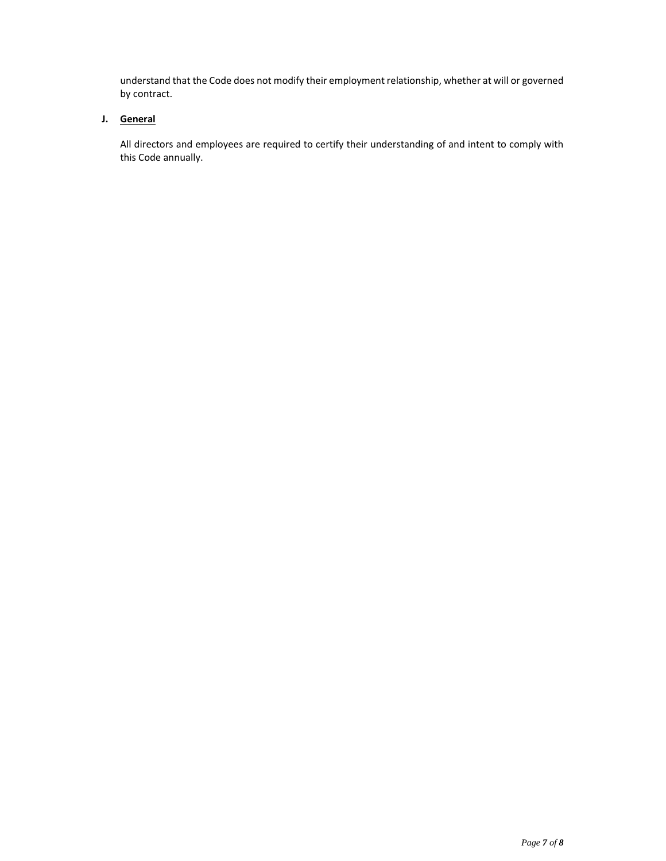understand that the Code does not modify their employment relationship, whether at will or governed by contract.

# **J. General**

All directors and employees are required to certify their understanding of and intent to comply with this Code annually.